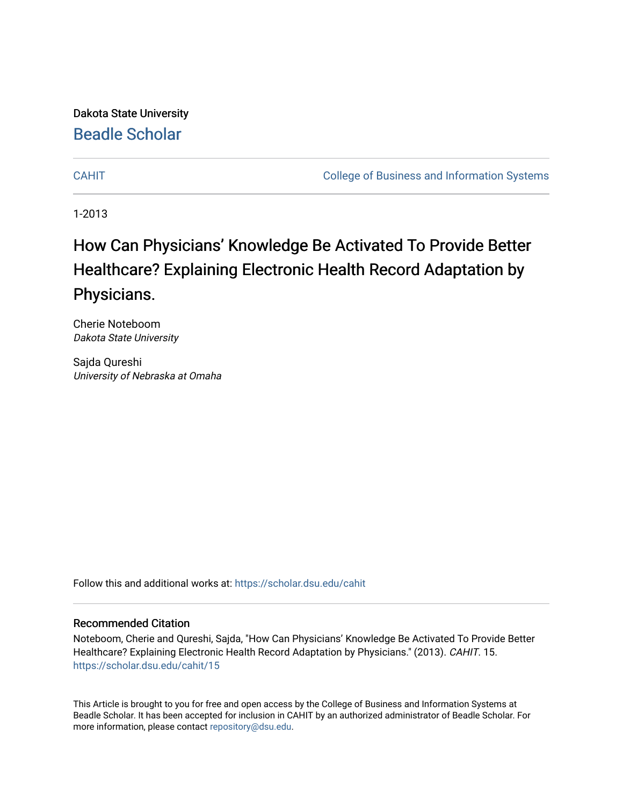Dakota State University [Beadle Scholar](https://scholar.dsu.edu/)

[CAHIT](https://scholar.dsu.edu/cahit) [College of Business and Information Systems](https://scholar.dsu.edu/biscollege) 

1-2013

# How Can Physicians' Knowledge Be Activated To Provide Better Healthcare? Explaining Electronic Health Record Adaptation by Physicians.

Cherie Noteboom Dakota State University

Sajda Qureshi University of Nebraska at Omaha

Follow this and additional works at: [https://scholar.dsu.edu/cahit](https://scholar.dsu.edu/cahit?utm_source=scholar.dsu.edu%2Fcahit%2F15&utm_medium=PDF&utm_campaign=PDFCoverPages) 

## Recommended Citation

Noteboom, Cherie and Qureshi, Sajda, "How Can Physicians' Knowledge Be Activated To Provide Better Healthcare? Explaining Electronic Health Record Adaptation by Physicians." (2013). CAHIT. 15. [https://scholar.dsu.edu/cahit/15](https://scholar.dsu.edu/cahit/15?utm_source=scholar.dsu.edu%2Fcahit%2F15&utm_medium=PDF&utm_campaign=PDFCoverPages) 

This Article is brought to you for free and open access by the College of Business and Information Systems at Beadle Scholar. It has been accepted for inclusion in CAHIT by an authorized administrator of Beadle Scholar. For more information, please contact [repository@dsu.edu.](mailto:repository@dsu.edu)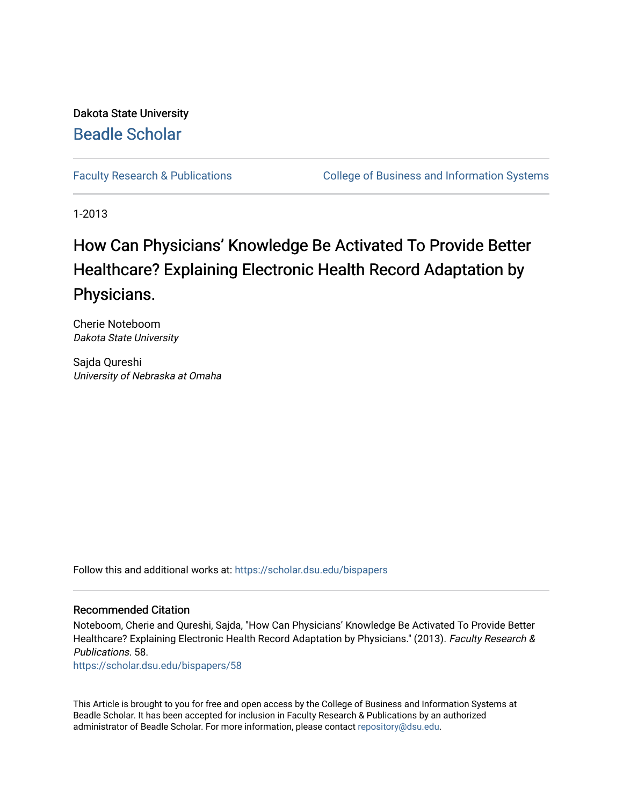Dakota State University [Beadle Scholar](https://scholar.dsu.edu/)

[Faculty Research & Publications](https://scholar.dsu.edu/bispapers) **College of Business and Information Systems** 

1-2013

# How Can Physicians' Knowledge Be Activated To Provide Better Healthcare? Explaining Electronic Health Record Adaptation by Physicians.

Cherie Noteboom Dakota State University

Sajda Qureshi University of Nebraska at Omaha

Follow this and additional works at: [https://scholar.dsu.edu/bispapers](https://scholar.dsu.edu/bispapers?utm_source=scholar.dsu.edu%2Fbispapers%2F58&utm_medium=PDF&utm_campaign=PDFCoverPages)

## Recommended Citation

Noteboom, Cherie and Qureshi, Sajda, "How Can Physicians' Knowledge Be Activated To Provide Better Healthcare? Explaining Electronic Health Record Adaptation by Physicians." (2013). Faculty Research & Publications. 58.

[https://scholar.dsu.edu/bispapers/58](https://scholar.dsu.edu/bispapers/58?utm_source=scholar.dsu.edu%2Fbispapers%2F58&utm_medium=PDF&utm_campaign=PDFCoverPages) 

This Article is brought to you for free and open access by the College of Business and Information Systems at Beadle Scholar. It has been accepted for inclusion in Faculty Research & Publications by an authorized administrator of Beadle Scholar. For more information, please contact [repository@dsu.edu.](mailto:repository@dsu.edu)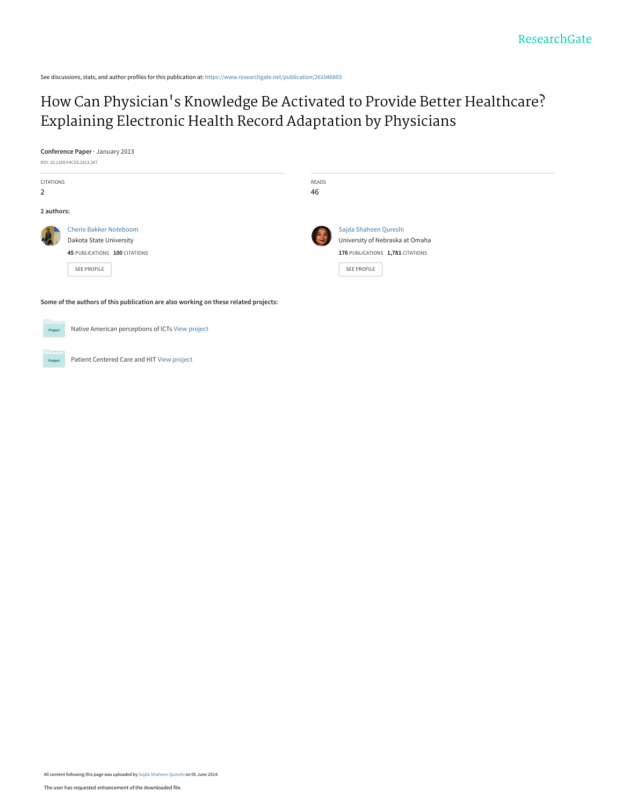See discussions, stats, and author profiles for this publication at: [https://www.researchgate.net/publication/261046803](https://www.researchgate.net/publication/261046803_How_Can_Physician%27s_Knowledge_Be_Activated_to_Provide_Better_Healthcare_Explaining_Electronic_Health_Record_Adaptation_by_Physicians?enrichId=rgreq-b82311041c1e503f2974ffbaba8a7f0a-XXX&enrichSource=Y292ZXJQYWdlOzI2MTA0NjgwMztBUzoxMDQ3ODc0OTIyMTI3NDVAMTQwMTk5NDY5MzU0NQ%3D%3D&el=1_x_2&_esc=publicationCoverPdf)

How Can Physician['s Knowledge Be Activated to Provide Better Healthcare?](https://www.researchgate.net/publication/261046803_How_Can_Physician%27s_Knowledge_Be_Activated_to_Provide_Better_Healthcare_Explaining_Electronic_Health_Record_Adaptation_by_Physicians?enrichId=rgreq-b82311041c1e503f2974ffbaba8a7f0a-XXX&enrichSource=Y292ZXJQYWdlOzI2MTA0NjgwMztBUzoxMDQ3ODc0OTIyMTI3NDVAMTQwMTk5NDY5MzU0NQ%3D%3D&el=1_x_3&_esc=publicationCoverPdf) Explaining Electronic Health Record Adaptation by Physicians

**Conference Paper** · January 2013 DOI: 10.1109/HICSS.2013.247 CITATIONS READS 2 46 **2 authors:** [Cherie Bakker Noteboom](https://www.researchgate.net/profile/Cherie_Noteboom?enrichId=rgreq-b82311041c1e503f2974ffbaba8a7f0a-XXX&enrichSource=Y292ZXJQYWdlOzI2MTA0NjgwMztBUzoxMDQ3ODc0OTIyMTI3NDVAMTQwMTk5NDY5MzU0NQ%3D%3D&el=1_x_5&_esc=publicationCoverPdf) [Sajda Shaheen Qureshi](https://www.researchgate.net/profile/Sajda_Qureshi?enrichId=rgreq-b82311041c1e503f2974ffbaba8a7f0a-XXX&enrichSource=Y292ZXJQYWdlOzI2MTA0NjgwMztBUzoxMDQ3ODc0OTIyMTI3NDVAMTQwMTk5NDY5MzU0NQ%3D%3D&el=1_x_5&_esc=publicationCoverPdf) [University of Nebraska at Omaha](https://www.researchgate.net/institution/University_of_Nebraska_at_Omaha?enrichId=rgreq-b82311041c1e503f2974ffbaba8a7f0a-XXX&enrichSource=Y292ZXJQYWdlOzI2MTA0NjgwMztBUzoxMDQ3ODc0OTIyMTI3NDVAMTQwMTk5NDY5MzU0NQ%3D%3D&el=1_x_6&_esc=publicationCoverPdf) [Dakota State University](https://www.researchgate.net/institution/Dakota_State_University?enrichId=rgreq-b82311041c1e503f2974ffbaba8a7f0a-XXX&enrichSource=Y292ZXJQYWdlOzI2MTA0NjgwMztBUzoxMDQ3ODc0OTIyMTI3NDVAMTQwMTk5NDY5MzU0NQ%3D%3D&el=1_x_6&_esc=publicationCoverPdf) **45** PUBLICATIONS **100** CITATIONS **176** PUBLICATIONS **1,781** CITATIONS [SEE PROFILE](https://www.researchgate.net/profile/Cherie_Noteboom?enrichId=rgreq-b82311041c1e503f2974ffbaba8a7f0a-XXX&enrichSource=Y292ZXJQYWdlOzI2MTA0NjgwMztBUzoxMDQ3ODc0OTIyMTI3NDVAMTQwMTk5NDY5MzU0NQ%3D%3D&el=1_x_7&_esc=publicationCoverPdf) [SEE PROFILE](https://www.researchgate.net/profile/Sajda_Qureshi?enrichId=rgreq-b82311041c1e503f2974ffbaba8a7f0a-XXX&enrichSource=Y292ZXJQYWdlOzI2MTA0NjgwMztBUzoxMDQ3ODc0OTIyMTI3NDVAMTQwMTk5NDY5MzU0NQ%3D%3D&el=1_x_7&_esc=publicationCoverPdf) **Some of the authors of this publication are also working on these related projects:** Native American perceptions of ICTs [View project](https://www.researchgate.net/project/Native-American-perceptions-of-ICTs?enrichId=rgreq-b82311041c1e503f2974ffbaba8a7f0a-XXX&enrichSource=Y292ZXJQYWdlOzI2MTA0NjgwMztBUzoxMDQ3ODc0OTIyMTI3NDVAMTQwMTk5NDY5MzU0NQ%3D%3D&el=1_x_9&_esc=publicationCoverPdf) Project

Patient Centered Care and HIT [View project](https://www.researchgate.net/project/Patient-Centered-Care-and-HIT?enrichId=rgreq-b82311041c1e503f2974ffbaba8a7f0a-XXX&enrichSource=Y292ZXJQYWdlOzI2MTA0NjgwMztBUzoxMDQ3ODc0OTIyMTI3NDVAMTQwMTk5NDY5MzU0NQ%3D%3D&el=1_x_9&_esc=publicationCoverPdf)

Project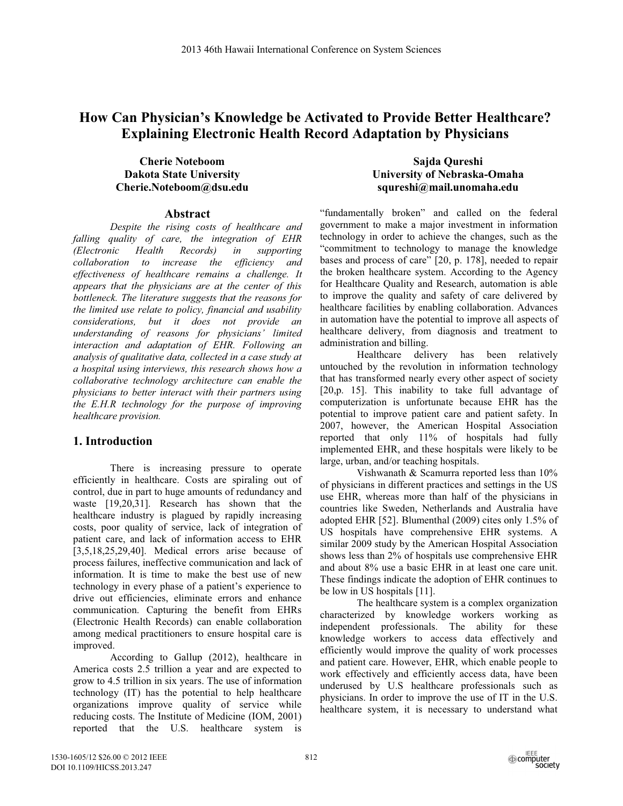## **How Can Physician's Knowledge be Activated to Provide Better Healthcare? Explaining Electronic Health Record Adaptation by Physicians**

**Cherie Noteboom Dakota State University Cherie.Noteboom@dsu.edu** 

#### **Abstract**

*Despite the rising costs of healthcare and falling quality of care, the integration of EHR (Electronic Health Records) in supporting collaboration to increase the efficiency and effectiveness of healthcare remains a challenge. It appears that the physicians are at the center of this bottleneck. The literature suggests that the reasons for the limited use relate to policy, financial and usability considerations, but it does not provide an understanding of reasons for physicians' limited interaction and adaptation of EHR. Following an analysis of qualitative data, collected in a case study at a hospital using interviews, this research shows how a collaborative technology architecture can enable the physicians to better interact with their partners using the E.H.R technology for the purpose of improving healthcare provision.* 

## **1. Introduction**

There is increasing pressure to operate efficiently in healthcare. Costs are spiraling out of control, due in part to huge amounts of redundancy and waste [19,20,31]. Research has shown that the healthcare industry is plagued by rapidly increasing costs, poor quality of service, lack of integration of patient care, and lack of information access to EHR [3,5,18,25,29,40]. Medical errors arise because of process failures, ineffective communication and lack of information. It is time to make the best use of new technology in every phase of a patient's experience to drive out efficiencies, eliminate errors and enhance communication. Capturing the benefit from EHRs (Electronic Health Records) can enable collaboration among medical practitioners to ensure hospital care is improved.

According to Gallup (2012), healthcare in America costs 2.5 trillion a year and are expected to grow to 4.5 trillion in six years. The use of information technology (IT) has the potential to help healthcare organizations improve quality of service while reducing costs. The Institute of Medicine (IOM, 2001) reported that the U.S. healthcare system is

**Sajda Qureshi University of Nebraska-Omaha squreshi@mail.unomaha.edu**

"fundamentally broken" and called on the federal government to make a major investment in information technology in order to achieve the changes, such as the "commitment to technology to manage the knowledge bases and process of care" [20, p. 178], needed to repair the broken healthcare system. According to the Agency for Healthcare Quality and Research, automation is able to improve the quality and safety of care delivered by healthcare facilities by enabling collaboration. Advances in automation have the potential to improve all aspects of healthcare delivery, from diagnosis and treatment to administration and billing.

Healthcare delivery has been relatively untouched by the revolution in information technology that has transformed nearly every other aspect of society [20,p. 15]. This inability to take full advantage of computerization is unfortunate because EHR has the potential to improve patient care and patient safety. In 2007, however, the American Hospital Association reported that only 11% of hospitals had fully implemented EHR, and these hospitals were likely to be large, urban, and/or teaching hospitals.

Vishwanath & Scamurra reported less than 10% of physicians in different practices and settings in the US use EHR, whereas more than half of the physicians in countries like Sweden, Netherlands and Australia have adopted EHR [52]. Blumenthal (2009) cites only 1.5% of US hospitals have comprehensive EHR systems. A similar 2009 study by the American Hospital Association shows less than 2% of hospitals use comprehensive EHR and about 8% use a basic EHR in at least one care unit. These findings indicate the adoption of EHR continues to be low in US hospitals [11].

The healthcare system is a complex organization characterized by knowledge workers working as independent professionals. The ability for these knowledge workers to access data effectively and efficiently would improve the quality of work processes and patient care. However, EHR, which enable people to work effectively and efficiently access data, have been underused by U.S healthcare professionals such as physicians. In order to improve the use of IT in the U.S. healthcare system, it is necessary to understand what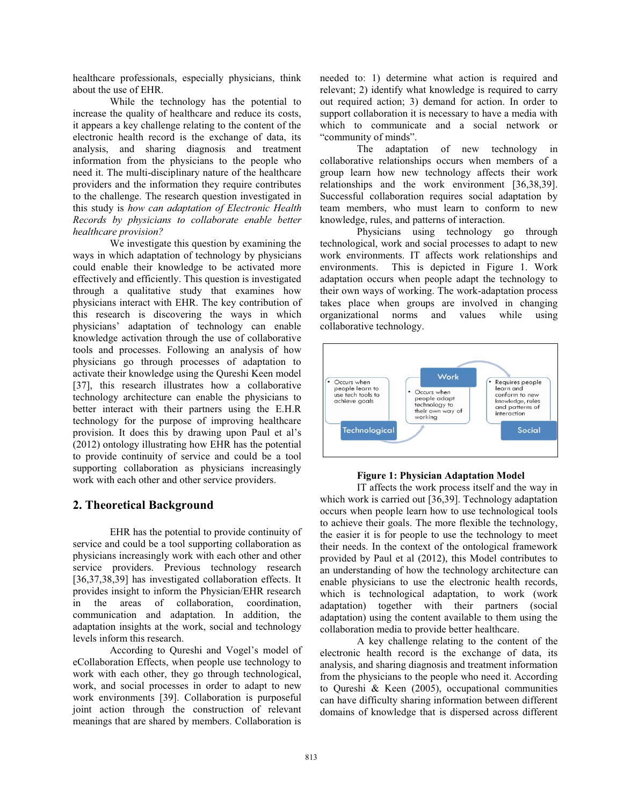healthcare professionals, especially physicians, think about the use of EHR.

While the technology has the potential to increase the quality of healthcare and reduce its costs, it appears a key challenge relating to the content of the electronic health record is the exchange of data, its analysis, and sharing diagnosis and treatment information from the physicians to the people who need it. The multi-disciplinary nature of the healthcare providers and the information they require contributes to the challenge. The research question investigated in this study is *how can adaptation of Electronic Health Records by physicians to collaborate enable better healthcare provision?*

We investigate this question by examining the ways in which adaptation of technology by physicians could enable their knowledge to be activated more effectively and efficiently. This question is investigated through a qualitative study that examines how physicians interact with EHR. The key contribution of this research is discovering the ways in which physicians' adaptation of technology can enable knowledge activation through the use of collaborative tools and processes. Following an analysis of how physicians go through processes of adaptation to activate their knowledge using the Qureshi Keen model [37], this research illustrates how a collaborative technology architecture can enable the physicians to better interact with their partners using the E.H.R technology for the purpose of improving healthcare provision. It does this by drawing upon Paul et al's (2012) ontology illustrating how EHR has the potential to provide continuity of service and could be a tool supporting collaboration as physicians increasingly work with each other and other service providers.

#### **2. Theoretical Background**

EHR has the potential to provide continuity of service and could be a tool supporting collaboration as physicians increasingly work with each other and other service providers. Previous technology research [36,37,38,39] has investigated collaboration effects. It provides insight to inform the Physician/EHR research in the areas of collaboration, coordination, communication and adaptation. In addition, the adaptation insights at the work, social and technology levels inform this research.

According to Qureshi and Vogel's model of eCollaboration Effects, when people use technology to work with each other, they go through technological, work, and social processes in order to adapt to new work environments [39]. Collaboration is purposeful joint action through the construction of relevant meanings that are shared by members. Collaboration is

needed to: 1) determine what action is required and relevant; 2) identify what knowledge is required to carry out required action; 3) demand for action. In order to support collaboration it is necessary to have a media with which to communicate and a social network or "community of minds".

The adaptation of new technology in collaborative relationships occurs when members of a group learn how new technology affects their work relationships and the work environment [36,38,39]. Successful collaboration requires social adaptation by team members, who must learn to conform to new knowledge, rules, and patterns of interaction.

Physicians using technology go through technological, work and social processes to adapt to new work environments. IT affects work relationships and environments. This is depicted in Figure 1. Work adaptation occurs when people adapt the technology to their own ways of working. The work-adaptation process takes place when groups are involved in changing organizational norms and values while using collaborative technology.



#### **Figure 1: Physician Adaptation Model**

IT affects the work process itself and the way in which work is carried out [36,39]. Technology adaptation occurs when people learn how to use technological tools to achieve their goals. The more flexible the technology, the easier it is for people to use the technology to meet their needs. In the context of the ontological framework provided by Paul et al (2012), this Model contributes to an understanding of how the technology architecture can enable physicians to use the electronic health records, which is technological adaptation, to work (work adaptation) together with their partners (social adaptation) using the content available to them using the collaboration media to provide better healthcare.

A key challenge relating to the content of the electronic health record is the exchange of data, its analysis, and sharing diagnosis and treatment information from the physicians to the people who need it. According to Qureshi & Keen (2005), occupational communities can have difficulty sharing information between different domains of knowledge that is dispersed across different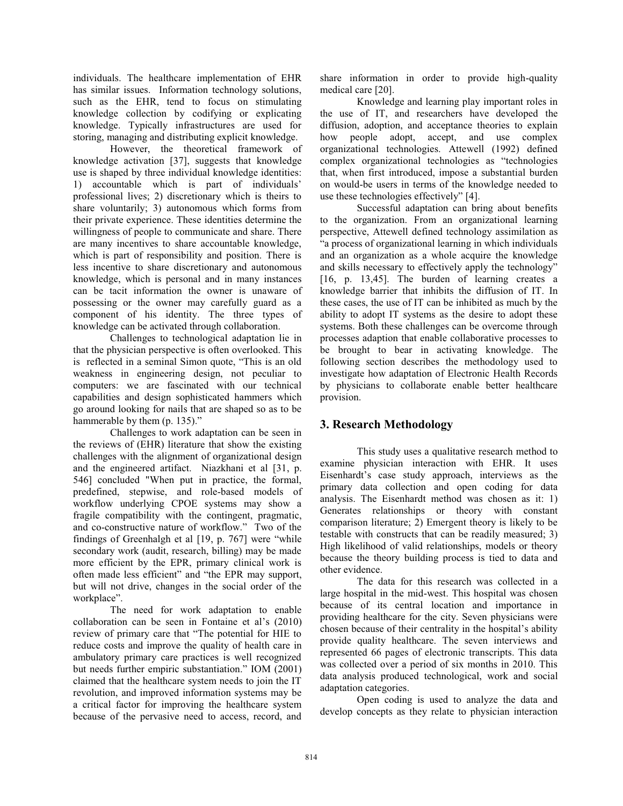individuals. The healthcare implementation of EHR has similar issues. Information technology solutions, such as the EHR, tend to focus on stimulating knowledge collection by codifying or explicating knowledge. Typically infrastructures are used for storing, managing and distributing explicit knowledge.

However, the theoretical framework of knowledge activation [37], suggests that knowledge use is shaped by three individual knowledge identities: 1) accountable which is part of individuals' professional lives; 2) discretionary which is theirs to share voluntarily; 3) autonomous which forms from their private experience. These identities determine the willingness of people to communicate and share. There are many incentives to share accountable knowledge, which is part of responsibility and position. There is less incentive to share discretionary and autonomous knowledge, which is personal and in many instances can be tacit information the owner is unaware of possessing or the owner may carefully guard as a component of his identity. The three types of knowledge can be activated through collaboration.

Challenges to technological adaptation lie in that the physician perspective is often overlooked. This is reflected in a seminal Simon quote, "This is an old weakness in engineering design, not peculiar to computers: we are fascinated with our technical capabilities and design sophisticated hammers which go around looking for nails that are shaped so as to be hammerable by them (p. 135)."

Challenges to work adaptation can be seen in the reviews of (EHR) literature that show the existing challenges with the alignment of organizational design and the engineered artifact. Niazkhani et al [31, p. 546] concluded "When put in practice, the formal, predefined, stepwise, and role-based models of workflow underlying CPOE systems may show a fragile compatibility with the contingent, pragmatic, and co-constructive nature of workflow." Two of the findings of Greenhalgh et al [19, p. 767] were "while secondary work (audit, research, billing) may be made more efficient by the EPR, primary clinical work is often made less efficient" and "the EPR may support, but will not drive, changes in the social order of the workplace".

The need for work adaptation to enable collaboration can be seen in Fontaine et al's (2010) review of primary care that "The potential for HIE to reduce costs and improve the quality of health care in ambulatory primary care practices is well recognized but needs further empiric substantiation." IOM (2001) claimed that the healthcare system needs to join the IT revolution, and improved information systems may be a critical factor for improving the healthcare system because of the pervasive need to access, record, and

share information in order to provide high-quality medical care [20].

Knowledge and learning play important roles in the use of IT, and researchers have developed the diffusion, adoption, and acceptance theories to explain how people adopt, accept, and use complex organizational technologies. Attewell (1992) defined complex organizational technologies as "technologies that, when first introduced, impose a substantial burden on would-be users in terms of the knowledge needed to use these technologies effectively" [4].

Successful adaptation can bring about benefits to the organization. From an organizational learning perspective, Attewell defined technology assimilation as "a process of organizational learning in which individuals and an organization as a whole acquire the knowledge and skills necessary to effectively apply the technology" [16, p. 13,45]. The burden of learning creates a knowledge barrier that inhibits the diffusion of IT. In these cases, the use of IT can be inhibited as much by the ability to adopt IT systems as the desire to adopt these systems. Both these challenges can be overcome through processes adaption that enable collaborative processes to be brought to bear in activating knowledge. The following section describes the methodology used to investigate how adaptation of Electronic Health Records by physicians to collaborate enable better healthcare provision.

## **3. Research Methodology**

This study uses a qualitative research method to examine physician interaction with EHR. It uses Eisenhardt's case study approach, interviews as the primary data collection and open coding for data analysis. The Eisenhardt method was chosen as it: 1) Generates relationships or theory with constant comparison literature; 2) Emergent theory is likely to be testable with constructs that can be readily measured; 3) High likelihood of valid relationships, models or theory because the theory building process is tied to data and other evidence.

The data for this research was collected in a large hospital in the mid-west. This hospital was chosen because of its central location and importance in providing healthcare for the city. Seven physicians were chosen because of their centrality in the hospital's ability provide quality healthcare. The seven interviews and represented 66 pages of electronic transcripts. This data was collected over a period of six months in 2010. This data analysis produced technological, work and social adaptation categories.

Open coding is used to analyze the data and develop concepts as they relate to physician interaction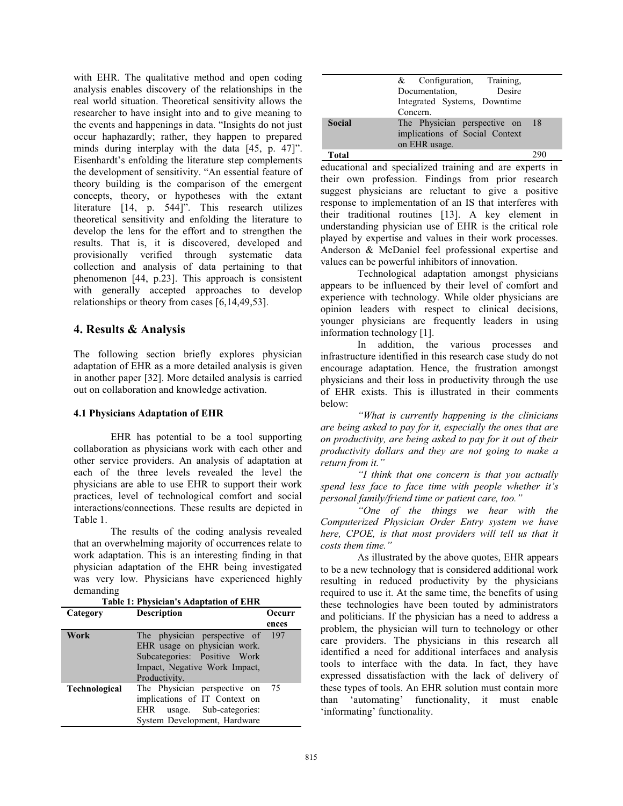with EHR. The qualitative method and open coding analysis enables discovery of the relationships in the real world situation. Theoretical sensitivity allows the researcher to have insight into and to give meaning to the events and happenings in data. "Insights do not just occur haphazardly; rather, they happen to prepared minds during interplay with the data [45, p. 47]". Eisenhardt's enfolding the literature step complements the development of sensitivity. "An essential feature of theory building is the comparison of the emergent concepts, theory, or hypotheses with the extant literature [14, p. 544]". This research utilizes theoretical sensitivity and enfolding the literature to develop the lens for the effort and to strengthen the results. That is, it is discovered, developed and provisionally verified through systematic data collection and analysis of data pertaining to that phenomenon [44, p.23]. This approach is consistent with generally accepted approaches to develop relationships or theory from cases [6,14,49,53].

## **4. Results & Analysis**

The following section briefly explores physician adaptation of EHR as a more detailed analysis is given in another paper [32]. More detailed analysis is carried out on collaboration and knowledge activation.

#### **4.1 Physicians Adaptation of EHR**

EHR has potential to be a tool supporting collaboration as physicians work with each other and other service providers. An analysis of adaptation at each of the three levels revealed the level the physicians are able to use EHR to support their work practices, level of technological comfort and social interactions/connections. These results are depicted in Table 1.

The results of the coding analysis revealed that an overwhelming majority of occurrences relate to work adaptation. This is an interesting finding in that physician adaptation of the EHR being investigated was very low. Physicians have experienced highly demanding

|  | Table 1: Physician's Adaptation of EHR |
|--|----------------------------------------|

| Category             | <b>Description</b>                                                                                                                                 | Occurr |
|----------------------|----------------------------------------------------------------------------------------------------------------------------------------------------|--------|
|                      |                                                                                                                                                    | ences  |
| Work                 | The physician perspective of 197<br>EHR usage on physician work.<br>Subcategories: Positive Work<br>Impact, Negative Work Impact,<br>Productivity. |        |
| <b>Technological</b> | The Physician perspective on<br>implications of IT Context on<br>EHR usage. Sub-categories:<br>System Development, Hardware                        | 75     |

|               | $&$ Configuration, Training,<br>Documentation,<br>Desire<br>Integrated Systems, Downtime |      |
|---------------|------------------------------------------------------------------------------------------|------|
|               | Concern.                                                                                 |      |
| <b>Social</b> | The Physician perspective on<br>implications of Social Context<br>on EHR usage.          | - 18 |
| Total         |                                                                                          |      |

educational and specialized training and are experts in their own profession. Findings from prior research suggest physicians are reluctant to give a positive response to implementation of an IS that interferes with their traditional routines [13]. A key element in understanding physician use of EHR is the critical role played by expertise and values in their work processes. Anderson & McDaniel feel professional expertise and values can be powerful inhibitors of innovation.

Technological adaptation amongst physicians appears to be influenced by their level of comfort and experience with technology. While older physicians are opinion leaders with respect to clinical decisions, younger physicians are frequently leaders in using information technology [1].

In addition, the various processes and infrastructure identified in this research case study do not encourage adaptation. Hence, the frustration amongst physicians and their loss in productivity through the use of EHR exists. This is illustrated in their comments below:

*"What is currently happening is the clinicians are being asked to pay for it, especially the ones that are on productivity, are being asked to pay for it out of their productivity dollars and they are not going to make a return from it."*

*"I think that one concern is that you actually spend less face to face time with people whether it's personal family/friend time or patient care, too."* 

*"One of the things we hear with the Computerized Physician Order Entry system we have here, CPOE, is that most providers will tell us that it costs them time."* 

As illustrated by the above quotes, EHR appears to be a new technology that is considered additional work resulting in reduced productivity by the physicians required to use it. At the same time, the benefits of using these technologies have been touted by administrators and politicians. If the physician has a need to address a problem, the physician will turn to technology or other care providers. The physicians in this research all identified a need for additional interfaces and analysis tools to interface with the data. In fact, they have expressed dissatisfaction with the lack of delivery of these types of tools. An EHR solution must contain more than 'automating' functionality, it must enable 'informating' functionality.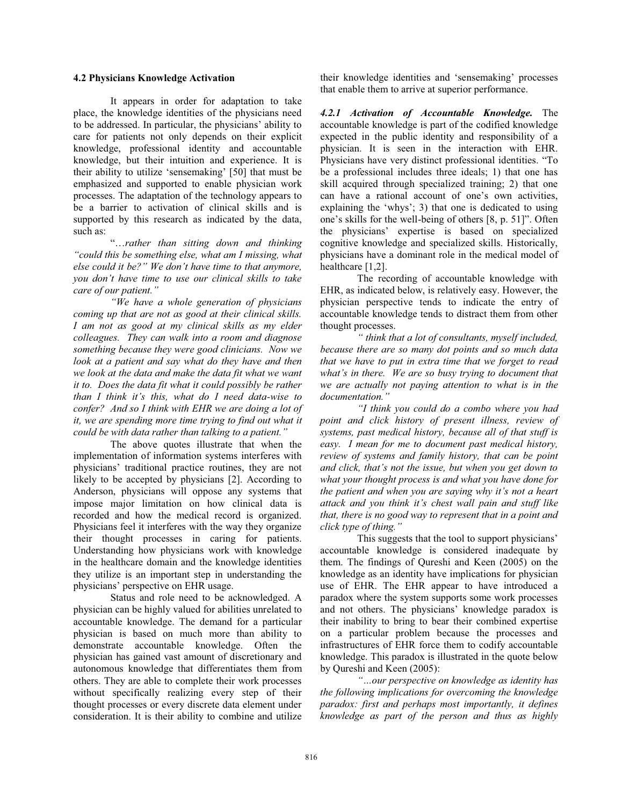#### **4.2 Physicians Knowledge Activation**

It appears in order for adaptation to take place, the knowledge identities of the physicians need to be addressed. In particular, the physicians' ability to care for patients not only depends on their explicit knowledge, professional identity and accountable knowledge, but their intuition and experience. It is their ability to utilize 'sensemaking' [50] that must be emphasized and supported to enable physician work processes. The adaptation of the technology appears to be a barrier to activation of clinical skills and is supported by this research as indicated by the data, such as:

"…*rather than sitting down and thinking "could this be something else, what am I missing, what else could it be?" We don't have time to that anymore, you don't have time to use our clinical skills to take care of our patient."*

*"We have a whole generation of physicians coming up that are not as good at their clinical skills. I am not as good at my clinical skills as my elder colleagues. They can walk into a room and diagnose something because they were good clinicians. Now we look at a patient and say what do they have and then we look at the data and make the data fit what we want it to. Does the data fit what it could possibly be rather than I think it's this, what do I need data-wise to confer? And so I think with EHR we are doing a lot of it, we are spending more time trying to find out what it could be with data rather than talking to a patient."*

The above quotes illustrate that when the implementation of information systems interferes with physicians' traditional practice routines, they are not likely to be accepted by physicians [2]. According to Anderson, physicians will oppose any systems that impose major limitation on how clinical data is recorded and how the medical record is organized. Physicians feel it interferes with the way they organize their thought processes in caring for patients. Understanding how physicians work with knowledge in the healthcare domain and the knowledge identities they utilize is an important step in understanding the physicians' perspective on EHR usage.

Status and role need to be acknowledged. A physician can be highly valued for abilities unrelated to accountable knowledge. The demand for a particular physician is based on much more than ability to demonstrate accountable knowledge. Often the physician has gained vast amount of discretionary and autonomous knowledge that differentiates them from others. They are able to complete their work processes without specifically realizing every step of their thought processes or every discrete data element under consideration. It is their ability to combine and utilize

their knowledge identities and 'sensemaking' processes that enable them to arrive at superior performance.

*4.2.1 Activation of Accountable Knowledge.* The accountable knowledge is part of the codified knowledge expected in the public identity and responsibility of a physician. It is seen in the interaction with EHR. Physicians have very distinct professional identities. "To be a professional includes three ideals; 1) that one has skill acquired through specialized training; 2) that one can have a rational account of one's own activities, explaining the 'whys'; 3) that one is dedicated to using one's skills for the well-being of others [8, p. 51]". Often the physicians' expertise is based on specialized cognitive knowledge and specialized skills. Historically, physicians have a dominant role in the medical model of healthcare [1,2].

The recording of accountable knowledge with EHR, as indicated below, is relatively easy. However, the physician perspective tends to indicate the entry of accountable knowledge tends to distract them from other thought processes.

*" think that a lot of consultants, myself included, because there are so many dot points and so much data that we have to put in extra time that we forget to read what's in there. We are so busy trying to document that we are actually not paying attention to what is in the documentation."*

*"I think you could do a combo where you had point and click history of present illness, review of systems, past medical history, because all of that stuff is easy. I mean for me to document past medical history, review of systems and family history, that can be point and click, that's not the issue, but when you get down to what your thought process is and what you have done for the patient and when you are saying why it's not a heart attack and you think it's chest wall pain and stuff like that, there is no good way to represent that in a point and click type of thing."*

This suggests that the tool to support physicians' accountable knowledge is considered inadequate by them. The findings of Qureshi and Keen (2005) on the knowledge as an identity have implications for physician use of EHR. The EHR appear to have introduced a paradox where the system supports some work processes and not others. The physicians' knowledge paradox is their inability to bring to bear their combined expertise on a particular problem because the processes and infrastructures of EHR force them to codify accountable knowledge. This paradox is illustrated in the quote below by Qureshi and Keen (2005):

*"…our perspective on knowledge as identity has the following implications for overcoming the knowledge paradox: first and perhaps most importantly, it defines knowledge as part of the person and thus as highly*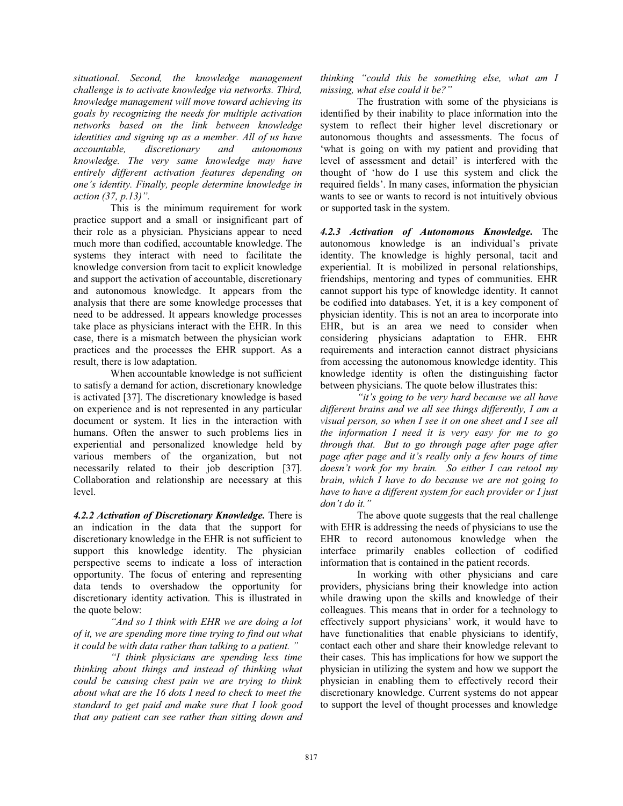*situational. Second, the knowledge management challenge is to activate knowledge via networks. Third, knowledge management will move toward achieving its goals by recognizing the needs for multiple activation networks based on the link between knowledge identities and signing up as a member. All of us have accountable, discretionary and autonomous knowledge. The very same knowledge may have entirely different activation features depending on one's identity. Finally, people determine knowledge in action (37, p.13)".* 

This is the minimum requirement for work practice support and a small or insignificant part of their role as a physician. Physicians appear to need much more than codified, accountable knowledge. The systems they interact with need to facilitate the knowledge conversion from tacit to explicit knowledge and support the activation of accountable, discretionary and autonomous knowledge. It appears from the analysis that there are some knowledge processes that need to be addressed. It appears knowledge processes take place as physicians interact with the EHR. In this case, there is a mismatch between the physician work practices and the processes the EHR support. As a result, there is low adaptation.

When accountable knowledge is not sufficient to satisfy a demand for action, discretionary knowledge is activated [37]. The discretionary knowledge is based on experience and is not represented in any particular document or system. It lies in the interaction with humans. Often the answer to such problems lies in experiential and personalized knowledge held by various members of the organization, but not necessarily related to their job description [37]. Collaboration and relationship are necessary at this level.

*4.2.2 Activation of Discretionary Knowledge.* There is an indication in the data that the support for discretionary knowledge in the EHR is not sufficient to support this knowledge identity. The physician perspective seems to indicate a loss of interaction opportunity. The focus of entering and representing data tends to overshadow the opportunity for discretionary identity activation. This is illustrated in the quote below:

*"And so I think with EHR we are doing a lot of it, we are spending more time trying to find out what it could be with data rather than talking to a patient. "*

*"I think physicians are spending less time thinking about things and instead of thinking what could be causing chest pain we are trying to think about what are the 16 dots I need to check to meet the standard to get paid and make sure that I look good that any patient can see rather than sitting down and*  *thinking "could this be something else, what am I missing, what else could it be?"*

The frustration with some of the physicians is identified by their inability to place information into the system to reflect their higher level discretionary or autonomous thoughts and assessments. The focus of 'what is going on with my patient and providing that level of assessment and detail' is interfered with the thought of 'how do I use this system and click the required fields'. In many cases, information the physician wants to see or wants to record is not intuitively obvious or supported task in the system.

*4.2.3 Activation of Autonomous Knowledge.* The autonomous knowledge is an individual's private identity. The knowledge is highly personal, tacit and experiential. It is mobilized in personal relationships, friendships, mentoring and types of communities. EHR cannot support his type of knowledge identity. It cannot be codified into databases. Yet, it is a key component of physician identity. This is not an area to incorporate into EHR, but is an area we need to consider when considering physicians adaptation to EHR. EHR requirements and interaction cannot distract physicians from accessing the autonomous knowledge identity. This knowledge identity is often the distinguishing factor between physicians. The quote below illustrates this:

*"it's going to be very hard because we all have different brains and we all see things differently, I am a visual person, so when I see it on one sheet and I see all the information I need it is very easy for me to go through that. But to go through page after page after page after page and it's really only a few hours of time doesn't work for my brain. So either I can retool my brain, which I have to do because we are not going to have to have a different system for each provider or I just don't do it."*

The above quote suggests that the real challenge with EHR is addressing the needs of physicians to use the EHR to record autonomous knowledge when the interface primarily enables collection of codified information that is contained in the patient records.

In working with other physicians and care providers, physicians bring their knowledge into action while drawing upon the skills and knowledge of their colleagues. This means that in order for a technology to effectively support physicians' work, it would have to have functionalities that enable physicians to identify, contact each other and share their knowledge relevant to their cases. This has implications for how we support the physician in utilizing the system and how we support the physician in enabling them to effectively record their discretionary knowledge. Current systems do not appear to support the level of thought processes and knowledge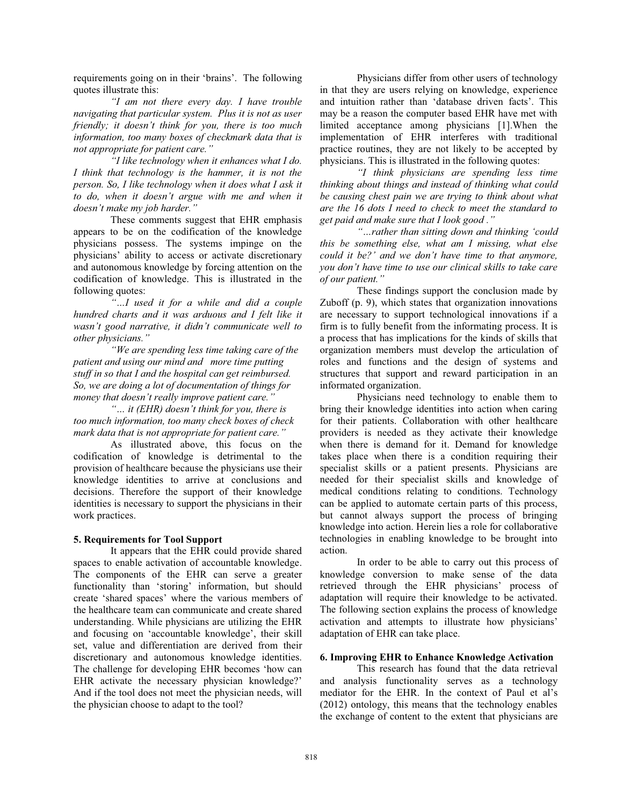requirements going on in their 'brains'. The following quotes illustrate this:

*"I am not there every day. I have trouble navigating that particular system. Plus it is not as user friendly; it doesn't think for you, there is too much information, too many boxes of checkmark data that is not appropriate for patient care."*

*"I like technology when it enhances what I do. I think that technology is the hammer, it is not the person. So, I like technology when it does what I ask it to do, when it doesn't argue with me and when it doesn't make my job harder."*

These comments suggest that EHR emphasis appears to be on the codification of the knowledge physicians possess. The systems impinge on the physicians' ability to access or activate discretionary and autonomous knowledge by forcing attention on the codification of knowledge. This is illustrated in the following quotes:

*"…I used it for a while and did a couple hundred charts and it was arduous and I felt like it wasn't good narrative, it didn't communicate well to other physicians."*

*"We are spending less time taking care of the patient and using our mind and more time putting stuff in so that I and the hospital can get reimbursed. So, we are doing a lot of documentation of things for money that doesn't really improve patient care."* 

*"… it (EHR) doesn't think for you, there is too much information, too many check boxes of check mark data that is not appropriate for patient care."*

As illustrated above, this focus on the codification of knowledge is detrimental to the provision of healthcare because the physicians use their knowledge identities to arrive at conclusions and decisions. Therefore the support of their knowledge identities is necessary to support the physicians in their work practices.

#### **5. Requirements for Tool Support**

It appears that the EHR could provide shared spaces to enable activation of accountable knowledge. The components of the EHR can serve a greater functionality than 'storing' information, but should create 'shared spaces' where the various members of the healthcare team can communicate and create shared understanding. While physicians are utilizing the EHR and focusing on 'accountable knowledge', their skill set, value and differentiation are derived from their discretionary and autonomous knowledge identities. The challenge for developing EHR becomes 'how can EHR activate the necessary physician knowledge?' And if the tool does not meet the physician needs, will the physician choose to adapt to the tool?

Physicians differ from other users of technology in that they are users relying on knowledge, experience and intuition rather than 'database driven facts'. This may be a reason the computer based EHR have met with limited acceptance among physicians [1].When the implementation of EHR interferes with traditional practice routines, they are not likely to be accepted by physicians. This is illustrated in the following quotes:

*"I think physicians are spending less time thinking about things and instead of thinking what could be causing chest pain we are trying to think about what are the 16 dots I need to check to meet the standard to get paid and make sure that I look good ."*

*"…rather than sitting down and thinking 'could this be something else, what am I missing, what else could it be?' and we don't have time to that anymore, you don't have time to use our clinical skills to take care of our patient."*

These findings support the conclusion made by Zuboff (p. 9), which states that organization innovations are necessary to support technological innovations if a firm is to fully benefit from the informating process. It is a process that has implications for the kinds of skills that organization members must develop the articulation of roles and functions and the design of systems and structures that support and reward participation in an informated organization.

Physicians need technology to enable them to bring their knowledge identities into action when caring for their patients. Collaboration with other healthcare providers is needed as they activate their knowledge when there is demand for it. Demand for knowledge takes place when there is a condition requiring their specialist skills or a patient presents. Physicians are needed for their specialist skills and knowledge of medical conditions relating to conditions. Technology can be applied to automate certain parts of this process, but cannot always support the process of bringing knowledge into action. Herein lies a role for collaborative technologies in enabling knowledge to be brought into action.

In order to be able to carry out this process of knowledge conversion to make sense of the data retrieved through the EHR physicians' process of adaptation will require their knowledge to be activated. The following section explains the process of knowledge activation and attempts to illustrate how physicians' adaptation of EHR can take place.

#### **6. Improving EHR to Enhance Knowledge Activation**

This research has found that the data retrieval and analysis functionality serves as a technology mediator for the EHR. In the context of Paul et al's (2012) ontology, this means that the technology enables the exchange of content to the extent that physicians are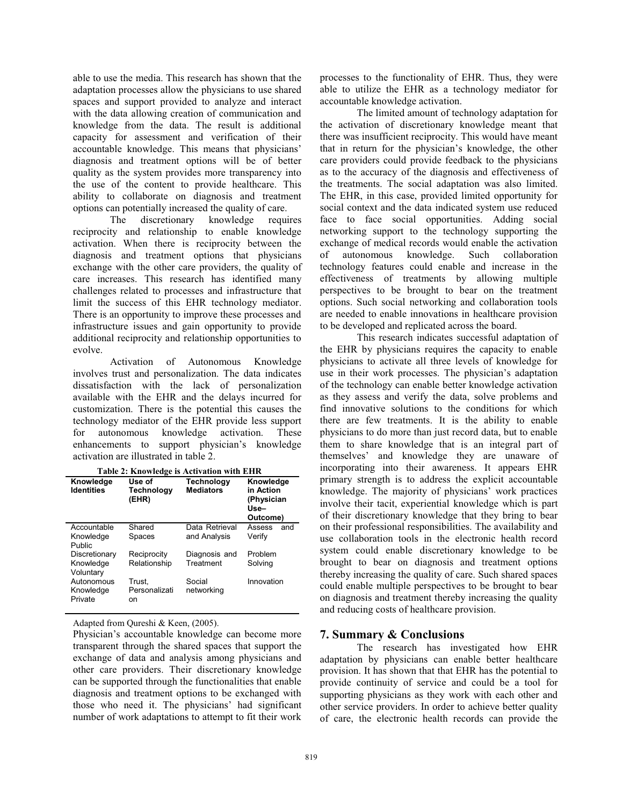able to use the media. This research has shown that the adaptation processes allow the physicians to use shared spaces and support provided to analyze and interact with the data allowing creation of communication and knowledge from the data. The result is additional capacity for assessment and verification of their accountable knowledge. This means that physicians' diagnosis and treatment options will be of better quality as the system provides more transparency into the use of the content to provide healthcare. This ability to collaborate on diagnosis and treatment options can potentially increased the quality of care.

The discretionary knowledge requires reciprocity and relationship to enable knowledge activation. When there is reciprocity between the diagnosis and treatment options that physicians exchange with the other care providers, the quality of care increases. This research has identified many challenges related to processes and infrastructure that limit the success of this EHR technology mediator. There is an opportunity to improve these processes and infrastructure issues and gain opportunity to provide additional reciprocity and relationship opportunities to evolve.

Activation of Autonomous Knowledge involves trust and personalization. The data indicates dissatisfaction with the lack of personalization available with the EHR and the delays incurred for customization. There is the potential this causes the technology mediator of the EHR provide less support for autonomous knowledge activation. These enhancements to support physician's knowledge activation are illustrated in table 2.

| Table 2: Knowledge is Activation with EHR |
|-------------------------------------------|
|-------------------------------------------|

| Knowledge<br><b>Identities</b>          | Use of<br>Technology<br>(EHR) | <b>Technology</b><br><b>Mediators</b> | Knowledge<br>in Action<br>(Physician<br>Use-<br>Outcome) |
|-----------------------------------------|-------------------------------|---------------------------------------|----------------------------------------------------------|
| Accountable<br>Knowledge<br>Public      | Shared<br><b>Spaces</b>       | Data Retrieval<br>and Analysis        | Assess<br>and<br>Verify                                  |
| Discretionary<br>Knowledge<br>Voluntary | Reciprocity<br>Relationship   | Diagnosis and<br>Treatment            | Problem<br>Solving                                       |
| Autonomous<br>Knowledge<br>Private      | Trust.<br>Personalizati<br>on | Social<br>networking                  | Innovation                                               |

Adapted from Qureshi & Keen, (2005).

Physician's accountable knowledge can become more transparent through the shared spaces that support the exchange of data and analysis among physicians and other care providers. Their discretionary knowledge can be supported through the functionalities that enable diagnosis and treatment options to be exchanged with those who need it. The physicians' had significant number of work adaptations to attempt to fit their work processes to the functionality of EHR. Thus, they were able to utilize the EHR as a technology mediator for accountable knowledge activation.

The limited amount of technology adaptation for the activation of discretionary knowledge meant that there was insufficient reciprocity. This would have meant that in return for the physician's knowledge, the other care providers could provide feedback to the physicians as to the accuracy of the diagnosis and effectiveness of the treatments. The social adaptation was also limited. The EHR, in this case, provided limited opportunity for social context and the data indicated system use reduced face to face social opportunities. Adding social networking support to the technology supporting the exchange of medical records would enable the activation of autonomous knowledge. Such collaboration technology features could enable and increase in the effectiveness of treatments by allowing multiple perspectives to be brought to bear on the treatment options. Such social networking and collaboration tools are needed to enable innovations in healthcare provision to be developed and replicated across the board.

This research indicates successful adaptation of the EHR by physicians requires the capacity to enable physicians to activate all three levels of knowledge for use in their work processes. The physician's adaptation of the technology can enable better knowledge activation as they assess and verify the data, solve problems and find innovative solutions to the conditions for which there are few treatments. It is the ability to enable physicians to do more than just record data, but to enable them to share knowledge that is an integral part of themselves' and knowledge they are unaware of incorporating into their awareness. It appears EHR primary strength is to address the explicit accountable knowledge. The majority of physicians' work practices involve their tacit, experiential knowledge which is part of their discretionary knowledge that they bring to bear on their professional responsibilities. The availability and use collaboration tools in the electronic health record system could enable discretionary knowledge to be brought to bear on diagnosis and treatment options thereby increasing the quality of care. Such shared spaces could enable multiple perspectives to be brought to bear on diagnosis and treatment thereby increasing the quality and reducing costs of healthcare provision.

## **7. Summary & Conclusions**

The research has investigated how EHR adaptation by physicians can enable better healthcare provision. It has shown that that EHR has the potential to provide continuity of service and could be a tool for supporting physicians as they work with each other and other service providers. In order to achieve better quality of care, the electronic health records can provide the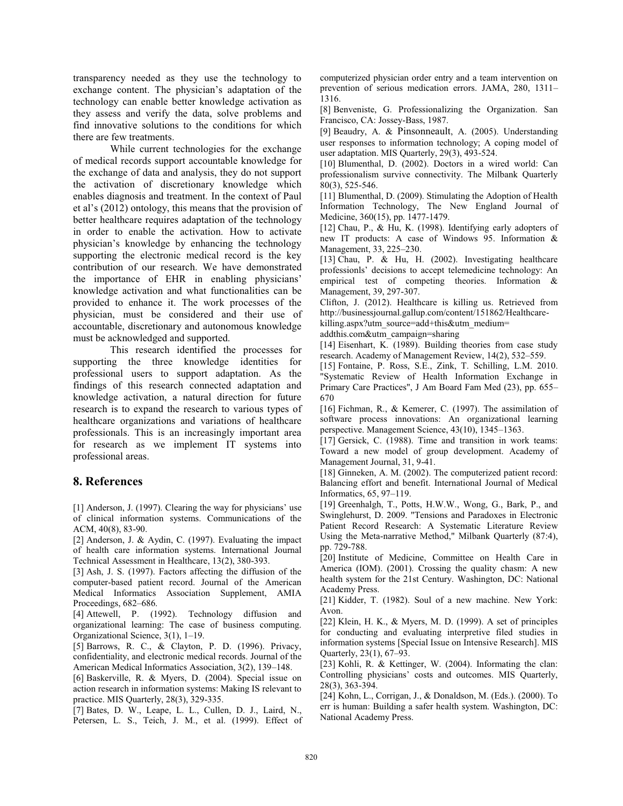transparency needed as they use the technology to exchange content. The physician's adaptation of the technology can enable better knowledge activation as they assess and verify the data, solve problems and find innovative solutions to the conditions for which there are few treatments.

While current technologies for the exchange of medical records support accountable knowledge for the exchange of data and analysis, they do not support the activation of discretionary knowledge which enables diagnosis and treatment. In the context of Paul et al's (2012) ontology, this means that the provision of better healthcare requires adaptation of the technology in order to enable the activation. How to activate physician's knowledge by enhancing the technology supporting the electronic medical record is the key contribution of our research. We have demonstrated the importance of EHR in enabling physicians' knowledge activation and what functionalities can be provided to enhance it. The work processes of the physician, must be considered and their use of accountable, discretionary and autonomous knowledge must be acknowledged and supported.

This research identified the processes for supporting the three knowledge identities for professional users to support adaptation. As the findings of this research connected adaptation and knowledge activation, a natural direction for future research is to expand the research to various types of healthcare organizations and variations of healthcare professionals. This is an increasingly important area for research as we implement IT systems into professional areas.

## **8. References**

[1] Anderson, J. (1997). Clearing the way for physicians' use of clinical information systems. Communications of the ACM, 40(8), 83-90.

[2] Anderson, J. & Aydin, C. (1997). Evaluating the impact of health care information systems. International Journal Technical Assessment in Healthcare, 13(2), 380-393.

[3] Ash, J. S. (1997). Factors affecting the diffusion of the computer-based patient record. Journal of the American Medical Informatics Association Supplement, AMIA Proceedings, 682–686.

[4] Attewell, P. (1992). Technology diffusion and organizational learning: The case of business computing. Organizational Science, 3(1), 1–19.

[5] Barrows, R. C., & Clayton, P. D. (1996). Privacy, confidentiality, and electronic medical records. Journal of the American Medical Informatics Association, 3(2), 139–148.

[6] Baskerville, R. & Myers, D. (2004). Special issue on action research in information systems: Making IS relevant to practice. MIS Quarterly, 28(3), 329-335.

[7] Bates, D. W., Leape, L. L., Cullen, D. J., Laird, N., Petersen, L. S., Teich, J. M., et al. (1999). Effect of computerized physician order entry and a team intervention on prevention of serious medication errors. JAMA, 280, 1311– 1316.

[8] Benveniste, G. Professionalizing the Organization. San Francisco, CA: Jossey-Bass, 1987.

[9] Beaudry, A. & Pinsonneault, A. (2005). Understanding user responses to information technology; A coping model of user adaptation. MIS Quarterly, 29(3), 493-524.

[10] Blumenthal, D. (2002). Doctors in a wired world: Can professionalism survive connectivity. The Milbank Quarterly 80(3), 525-546.

[11] Blumenthal, D. (2009). Stimulating the Adoption of Health Information Technology, The New England Journal of Medicine, 360(15), pp. 1477-1479.

[12] Chau, P., & Hu, K. (1998). Identifying early adopters of new IT products: A case of Windows 95. Information & Management, 33, 225–230.

[13] Chau, P. & Hu, H. (2002). Investigating healthcare professionls' decisions to accept telemedicine technology: An empirical test of competing theories. Information & Management, 39, 297-307.

Clifton, J. (2012). Healthcare is killing us. Retrieved from http://businessjournal.gallup.com/content/151862/Healthcarekilling.aspx?utm\_source=add+this&utm\_medium=

addthis.com&utm\_campaign=sharing

[14] Eisenhart, K. (1989). Building theories from case study research. Academy of Management Review, 14(2), 532–559.

[15] Fontaine, P. Ross, S.E., Zink, T. Schilling, L.M. 2010. "Systematic Review of Health Information Exchange in Primary Care Practices", J Am Board Fam Med (23), pp. 655– 670

[16] Fichman, R., & Kemerer, C. (1997). The assimilation of software process innovations: An organizational learning perspective. Management Science, 43(10), 1345–1363.

[17] Gersick, C. (1988). Time and transition in work teams: Toward a new model of group development. Academy of Management Journal, 31, 9-41.

[18] Ginneken, A. M. (2002). The computerized patient record: Balancing effort and benefit. International Journal of Medical Informatics, 65, 97–119.

[19] Greenhalgh, T., Potts, H.W.W., Wong, G., Bark, P., and Swinglehurst, D. 2009. "Tensions and Paradoxes in Electronic Patient Record Research: A Systematic Literature Review Using the Meta-narrative Method," Milbank Quarterly (87:4), pp. 729-788.

[20] Institute of Medicine, Committee on Health Care in America (IOM). (2001). Crossing the quality chasm: A new health system for the 21st Century. Washington, DC: National Academy Press.

[21] Kidder, T. (1982). Soul of a new machine. New York: Avon.

[22] Klein, H. K., & Myers, M. D. (1999). A set of principles for conducting and evaluating interpretive filed studies in information systems [Special Issue on Intensive Research]. MIS Quarterly, 23(1), 67–93.

[23] Kohli, R. & Kettinger, W. (2004). Informating the clan: Controlling physicians' costs and outcomes. MIS Quarterly, 28(3), 363-394.

[24] Kohn, L., Corrigan, J., & Donaldson, M. (Eds.). (2000). To err is human: Building a safer health system. Washington, DC: National Academy Press.